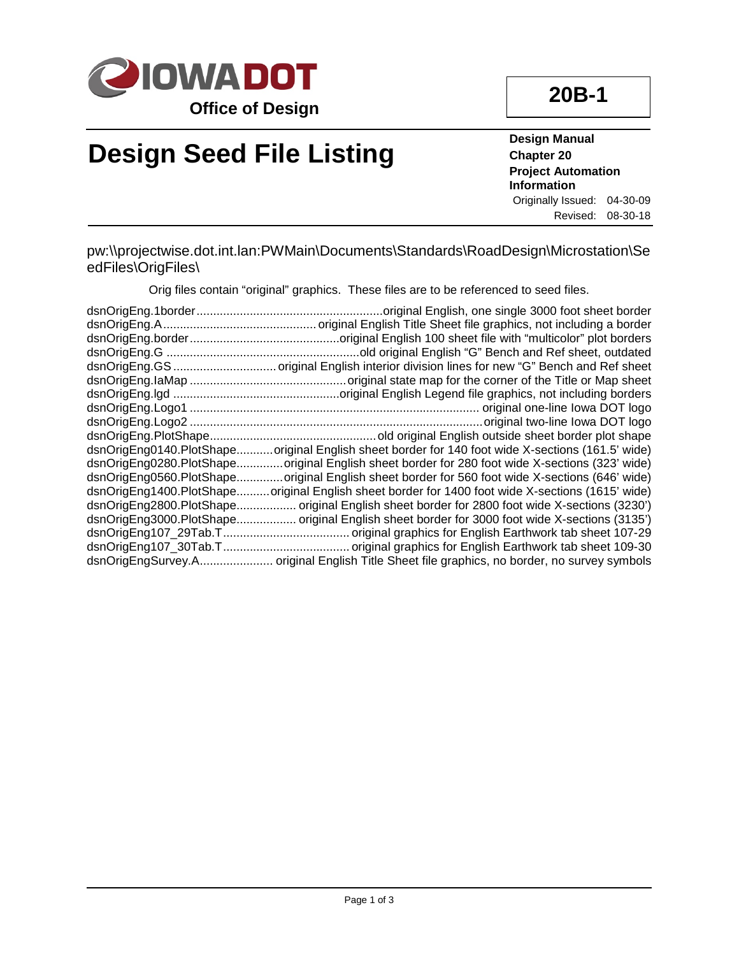

# **Design Seed File Listing**

**Design Manual Chapter 20 Project Automation Information** Originally Issued: 04-30-09 Revised: 08-30-18

pw:\\projectwise.dot.int.lan:PWMain\Documents\Standards\RoadDesign\Microstation\Se edFiles\OrigFiles\

Orig files contain "original" graphics. These files are to be referenced to seed files.

| .original English, one single 3000 foot sheet border                                             |
|--------------------------------------------------------------------------------------------------|
|                                                                                                  |
|                                                                                                  |
|                                                                                                  |
|                                                                                                  |
|                                                                                                  |
|                                                                                                  |
|                                                                                                  |
|                                                                                                  |
| dsnOrigEng0140.PlotShapeoriginal English sheet border for 140 foot wide X-sections (161.5' wide) |
| dsnOrigEng0280.PlotShapeoriginal English sheet border for 280 foot wide X-sections (323' wide)   |
| dsnOrigEng0560.PlotShapeoriginal English sheet border for 560 foot wide X-sections (646' wide)   |
| dsnOrigEng1400.PlotShapeoriginal English sheet border for 1400 foot wide X-sections (1615' wide) |
| dsnOrigEng2800.PlotShape original English sheet border for 2800 foot wide X-sections (3230')     |
| dsnOrigEng3000.PlotShape original English sheet border for 3000 foot wide X-sections (3135')     |
|                                                                                                  |
|                                                                                                  |
| dsnOrigEngSurvey.A original English Title Sheet file graphics, no border, no survey symbols      |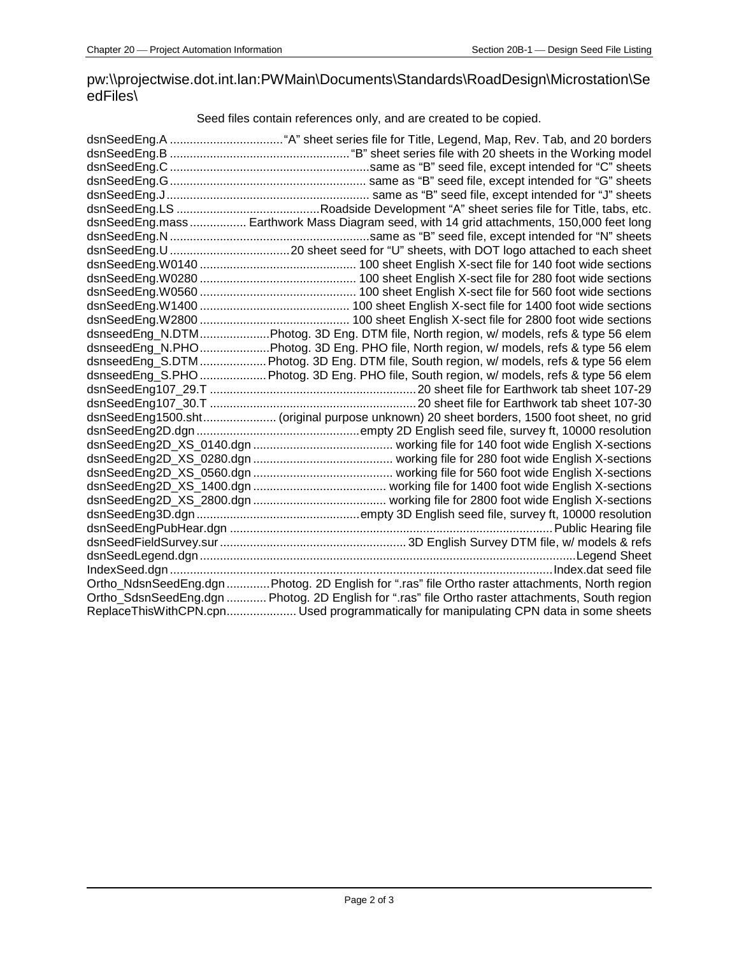### pw:\\projectwise.dot.int.lan:PWMain\Documents\Standards\RoadDesign\Microstation\Se edFiles\

Seed files contain references only, and are created to be copied.

| dsnSeedEng.mass Earthwork Mass Diagram seed, with 14 grid attachments, 150,000 feet long         |
|--------------------------------------------------------------------------------------------------|
|                                                                                                  |
|                                                                                                  |
|                                                                                                  |
|                                                                                                  |
|                                                                                                  |
|                                                                                                  |
|                                                                                                  |
| dsnseedEng_N.DTMPhotog. 3D Eng. DTM file, North region, w/ models, refs & type 56 elem           |
| dsnseedEng_N.PHOPhotog. 3D Eng. PHO file, North region, w/ models, refs & type 56 elem           |
| dsnseedEng_S.DTM  Photog. 3D Eng. DTM file, South region, w/ models, refs & type 56 elem         |
| dsnseedEng_S.PHO  Photog. 3D Eng. PHO file, South region, w/ models, refs & type 56 elem         |
|                                                                                                  |
|                                                                                                  |
| dsnSeedEng1500.sht (original purpose unknown) 20 sheet borders, 1500 foot sheet, no grid         |
|                                                                                                  |
|                                                                                                  |
|                                                                                                  |
|                                                                                                  |
|                                                                                                  |
|                                                                                                  |
|                                                                                                  |
|                                                                                                  |
|                                                                                                  |
|                                                                                                  |
|                                                                                                  |
| Ortho_NdsnSeedEng.dgn Photog. 2D English for ".ras" file Ortho raster attachments, North region  |
| Ortho_SdsnSeedEng.dgn  Photog. 2D English for ".ras" file Ortho raster attachments, South region |
| ReplaceThisWithCPN.cpn Used programmatically for manipulating CPN data in some sheets            |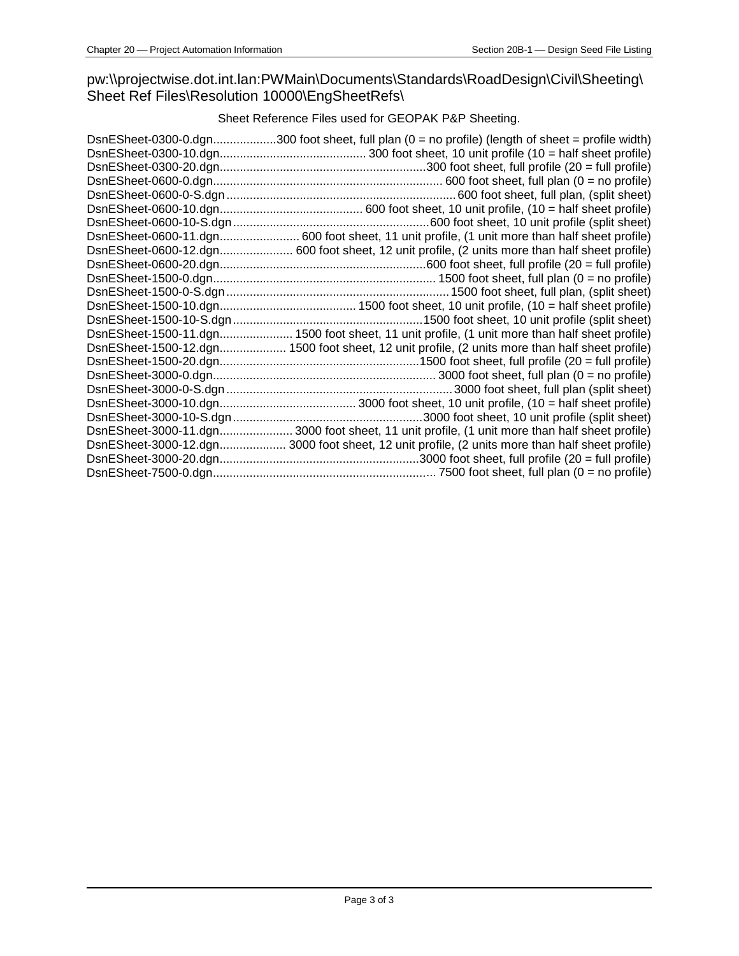#### pw:\\projectwise.dot.int.lan:PWMain\Documents\Standards\RoadDesign\Civil\Sheeting\ Sheet Ref Files\Resolution 10000\EngSheetRefs\

#### Sheet Reference Files used for GEOPAK P&P Sheeting.

| DsnESheet-0300-0.dgn300 foot sheet, full plan (0 = no profile) (length of sheet = profile width) |
|--------------------------------------------------------------------------------------------------|
|                                                                                                  |
|                                                                                                  |
|                                                                                                  |
|                                                                                                  |
|                                                                                                  |
|                                                                                                  |
| DsnESheet-0600-11.dgn 600 foot sheet, 11 unit profile, (1 unit more than half sheet profile)     |
| DsnESheet-0600-12.dgn 600 foot sheet, 12 unit profile, (2 units more than half sheet profile)    |
|                                                                                                  |
|                                                                                                  |
|                                                                                                  |
|                                                                                                  |
|                                                                                                  |
|                                                                                                  |
| DsnESheet-1500-12.dgn 1500 foot sheet, 12 unit profile, (2 units more than half sheet profile)   |
|                                                                                                  |
|                                                                                                  |
|                                                                                                  |
|                                                                                                  |
|                                                                                                  |
|                                                                                                  |
| DsnESheet-3000-12.dgn 3000 foot sheet, 12 unit profile, (2 units more than half sheet profile)   |
|                                                                                                  |
|                                                                                                  |